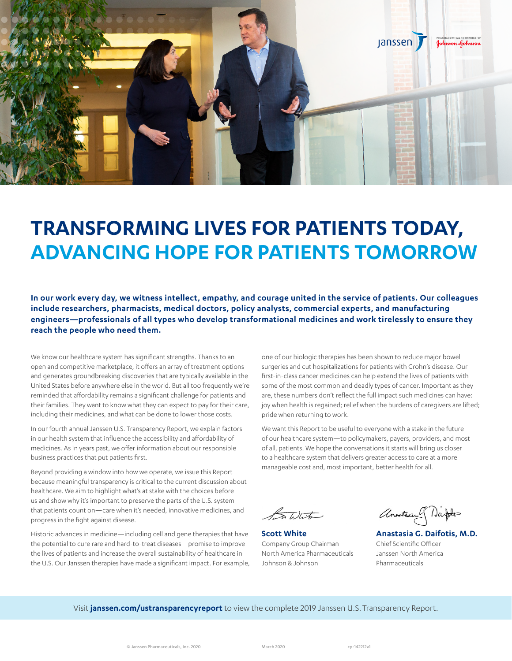

# **TRANSFORMING LIVES FOR PATIENTS TODAY, ADVANCING HOPE FOR PATIENTS TOMORROW**

**In our work every day, we witness intellect, empathy, and courage united in the service of patients. Our colleagues include researchers, pharmacists, medical doctors, policy analysts, commercial experts, and manufacturing engineers—professionals of all types who develop transformational medicines and work tirelessly to ensure they reach the people who need them.**

We know our healthcare system has significant strengths. Thanks to an open and competitive marketplace, it offers an array of treatment options and generates groundbreaking discoveries that are typically available in the United States before anywhere else in the world. But all too frequently we're reminded that affordability remains a significant challenge for patients and their families. They want to know what they can expect to pay for their care, including their medicines, and what can be done to lower those costs.

In our fourth annual Janssen U.S. Transparency Report, we explain factors in our health system that influence the accessibility and affordability of medicines. As in years past, we offer information about our responsible business practices that put patients first.

Beyond providing a window into how we operate, we issue this Report because meaningful transparency is critical to the current discussion about healthcare. We aim to highlight what's at stake with the choices before us and show why it's important to preserve the parts of the U.S. system that patients count on—care when it's needed, innovative medicines, and progress in the fight against disease.

Historic advances in medicine—including cell and gene therapies that have the potential to cure rare and hard-to-treat diseases—promise to improve the lives of patients and increase the overall sustainability of healthcare in the U.S. Our Janssen therapies have made a significant impact. For example, one of our biologic therapies has been shown to reduce major bowel surgeries and cut hospitalizations for patients with Crohn's disease. Our first-in-class cancer medicines can help extend the lives of patients with some of the most common and deadly types of cancer. Important as they are, these numbers don't reflect the full impact such medicines can have: joy when health is regained; relief when the burdens of caregivers are lifted; pride when returning to work.

We want this Report to be useful to everyone with a stake in the future of our healthcare system—to policymakers, payers, providers, and most of all, patients. We hope the conversations it starts will bring us closer to a healthcare system that delivers greater access to care at a more manageable cost and, most important, better health for all.

 $f_{\overline{a}(t)}(t)$ 

**Scott White** Company Group Chairman North America Pharmaceuticals Johnson & Johnson

anasterical Darfor

**Anastasia G. Daifotis, M.D.** Chief Scientific Officer Janssen North America **Pharmaceuticals** 

Visit **[janssen.com/ustransparencyreport](http://janssen.com/ustransparencyreport)** to view the complete 2019 Janssen U.S. Transparency Report.